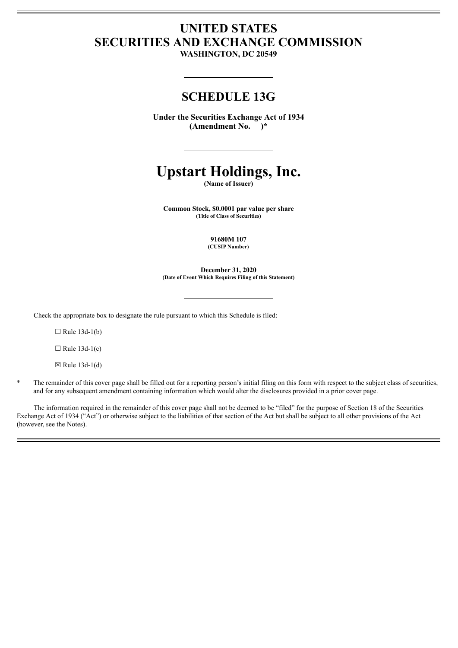# **UNITED STATES SECURITIES AND EXCHANGE COMMISSION**

**WASHINGTON, DC 20549**

# **SCHEDULE 13G**

**Under the Securities Exchange Act of 1934 (Amendment No. )\***

# **Upstart Holdings, Inc.**

**(Name of Issuer)**

**Common Stock, \$0.0001 par value per share (Title of Class of Securities)**

> **91680M 107 (CUSIP Number)**

**December 31, 2020 (Date of Event Which Requires Filing of this Statement)**

Check the appropriate box to designate the rule pursuant to which this Schedule is filed:

 $\Box$  Rule 13d-1(b)

 $\Box$  Rule 13d-1(c)

 $\boxtimes$  Rule 13d-1(d)

The remainder of this cover page shall be filled out for a reporting person's initial filing on this form with respect to the subject class of securities, and for any subsequent amendment containing information which would alter the disclosures provided in a prior cover page.

The information required in the remainder of this cover page shall not be deemed to be "filed" for the purpose of Section 18 of the Securities Exchange Act of 1934 ("Act") or otherwise subject to the liabilities of that section of the Act but shall be subject to all other provisions of the Act (however, see the Notes).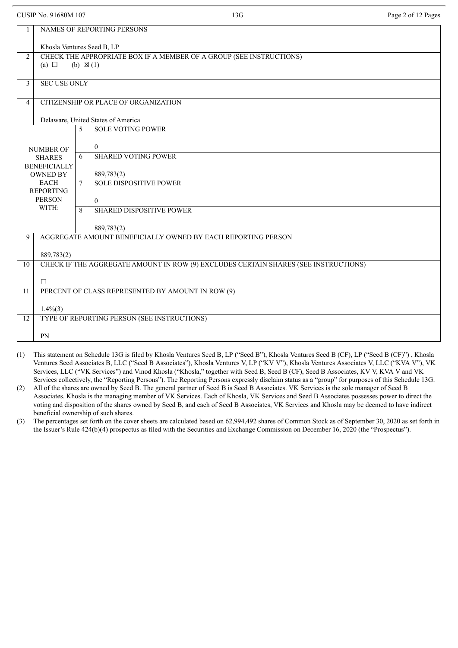|  | CUSIP No. 91680M 107 |  |
|--|----------------------|--|
|  |                      |  |

PN

| CUSIP No. 91680M 107 |                                                                                     |   | 13G                                                                 | Page 2 of 12 Pages |  |  |  |  |
|----------------------|-------------------------------------------------------------------------------------|---|---------------------------------------------------------------------|--------------------|--|--|--|--|
| $\mathbf{1}$         | NAMES OF REPORTING PERSONS                                                          |   |                                                                     |                    |  |  |  |  |
|                      | Khosla Ventures Seed B, LP                                                          |   |                                                                     |                    |  |  |  |  |
| $\overline{2}$       |                                                                                     |   | CHECK THE APPROPRIATE BOX IF A MEMBER OF A GROUP (SEE INSTRUCTIONS) |                    |  |  |  |  |
|                      | (a) $\Box$                                                                          |   | (b) $\boxtimes$ (1)                                                 |                    |  |  |  |  |
| $\overline{3}$       | <b>SEC USE ONLY</b>                                                                 |   |                                                                     |                    |  |  |  |  |
| $\overline{4}$       |                                                                                     |   | CITIZENSHIP OR PLACE OF ORGANIZATION                                |                    |  |  |  |  |
|                      |                                                                                     |   | Delaware, United States of America                                  |                    |  |  |  |  |
|                      |                                                                                     | 5 | <b>SOLE VOTING POWER</b>                                            |                    |  |  |  |  |
|                      | <b>NUMBER OF</b>                                                                    |   | $\theta$                                                            |                    |  |  |  |  |
|                      | <b>SHARES</b>                                                                       | 6 | <b>SHARED VOTING POWER</b>                                          |                    |  |  |  |  |
|                      | <b>BENEFICIALLY</b>                                                                 |   |                                                                     |                    |  |  |  |  |
|                      | <b>OWNED BY</b>                                                                     |   | 889,783(2)                                                          |                    |  |  |  |  |
|                      | <b>EACH</b><br><b>REPORTING</b>                                                     | 7 | <b>SOLE DISPOSITIVE POWER</b>                                       |                    |  |  |  |  |
|                      | <b>PERSON</b>                                                                       |   | $\theta$                                                            |                    |  |  |  |  |
|                      | WITH:                                                                               | 8 | <b>SHARED DISPOSITIVE POWER</b>                                     |                    |  |  |  |  |
|                      |                                                                                     |   | 889,783(2)                                                          |                    |  |  |  |  |
| 9                    | AGGREGATE AMOUNT BENEFICIALLY OWNED BY EACH REPORTING PERSON                        |   |                                                                     |                    |  |  |  |  |
|                      | 889,783(2)                                                                          |   |                                                                     |                    |  |  |  |  |
| 10                   | CHECK IF THE AGGREGATE AMOUNT IN ROW (9) EXCLUDES CERTAIN SHARES (SEE INSTRUCTIONS) |   |                                                                     |                    |  |  |  |  |
|                      |                                                                                     |   |                                                                     |                    |  |  |  |  |
| 11                   | $\Box$                                                                              |   | PERCENT OF CLASS REPRESENTED BY AMOUNT IN ROW (9)                   |                    |  |  |  |  |
|                      |                                                                                     |   |                                                                     |                    |  |  |  |  |
|                      | $1.4\%(3)$                                                                          |   |                                                                     |                    |  |  |  |  |
| 12                   | TYPE OF REPORTING PERSON (SEE INSTRUCTIONS)                                         |   |                                                                     |                    |  |  |  |  |

(1) This statement on Schedule 13G is filed by Khosla Ventures Seed B, LP ("Seed B"), Khosla Ventures Seed B (CF), LP ("Seed B (CF)") , Khosla Ventures Seed Associates B, LLC ("Seed B Associates"), Khosla Ventures V, LP ("KV V"), Khosla Ventures Associates V, LLC ("KVA V"), VK Services, LLC ("VK Services") and Vinod Khosla ("Khosla," together with Seed B, Seed B (CF), Seed B Associates, KV V, KVA V and VK Services collectively, the "Reporting Persons"). The Reporting Persons expressly disclaim status as a "group" for purposes of this Schedule 13G.

(2) All of the shares are owned by Seed B. The general partner of Seed B is Seed B Associates. VK Services is the sole manager of Seed B Associates. Khosla is the managing member of VK Services. Each of Khosla, VK Services and Seed B Associates possesses power to direct the voting and disposition of the shares owned by Seed B, and each of Seed B Associates, VK Services and Khosla may be deemed to have indirect beneficial ownership of such shares.

(3) The percentages set forth on the cover sheets are calculated based on 62,994,492 shares of Common Stock as of September 30, 2020 as set forth in the Issuer's Rule 424(b)(4) prospectus as filed with the Securities and Exchange Commission on December 16, 2020 (the "Prospectus").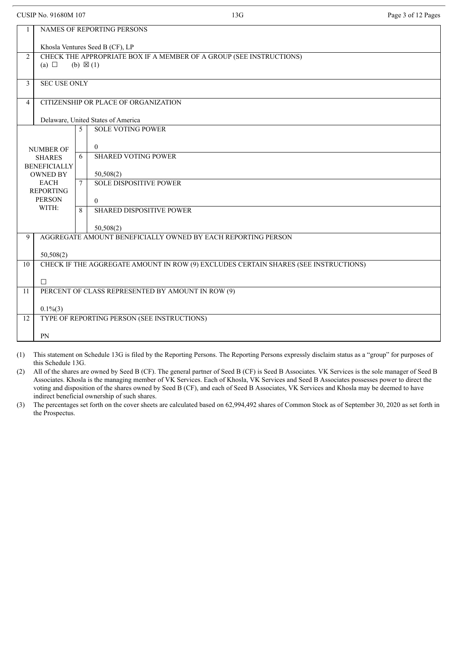|                                        | CUSIP No. 91680M 107                                                                |    | 13G                                                                 | Page 3 of 12 Pages |  |  |  |
|----------------------------------------|-------------------------------------------------------------------------------------|----|---------------------------------------------------------------------|--------------------|--|--|--|
| 1                                      | NAMES OF REPORTING PERSONS                                                          |    |                                                                     |                    |  |  |  |
|                                        | Khosla Ventures Seed B (CF), LP                                                     |    |                                                                     |                    |  |  |  |
| 2                                      |                                                                                     |    | CHECK THE APPROPRIATE BOX IF A MEMBER OF A GROUP (SEE INSTRUCTIONS) |                    |  |  |  |
|                                        | (a) $\Box$                                                                          |    | $(b) \boxtimes (1)$                                                 |                    |  |  |  |
| $\overline{3}$                         | <b>SEC USE ONLY</b>                                                                 |    |                                                                     |                    |  |  |  |
| $\overline{4}$                         |                                                                                     |    | CITIZENSHIP OR PLACE OF ORGANIZATION                                |                    |  |  |  |
|                                        |                                                                                     |    |                                                                     |                    |  |  |  |
|                                        |                                                                                     | 5. | Delaware, United States of America<br><b>SOLE VOTING POWER</b>      |                    |  |  |  |
|                                        |                                                                                     |    |                                                                     |                    |  |  |  |
|                                        | <b>NUMBER OF</b>                                                                    |    | $\theta$                                                            |                    |  |  |  |
|                                        | <b>SHARES</b>                                                                       | 6  | <b>SHARED VOTING POWER</b>                                          |                    |  |  |  |
|                                        | <b>BENEFICIALLY</b><br><b>OWNED BY</b>                                              |    | 50,508(2)                                                           |                    |  |  |  |
|                                        | <b>EACH</b>                                                                         | 7  | <b>SOLE DISPOSITIVE POWER</b>                                       |                    |  |  |  |
|                                        | <b>REPORTING</b>                                                                    |    |                                                                     |                    |  |  |  |
|                                        | <b>PERSON</b>                                                                       |    | $\theta$                                                            |                    |  |  |  |
| WITH:<br>8<br>SHARED DISPOSITIVE POWER |                                                                                     |    |                                                                     |                    |  |  |  |
|                                        |                                                                                     |    | 50,508(2)                                                           |                    |  |  |  |
| 9                                      | AGGREGATE AMOUNT BENEFICIALLY OWNED BY EACH REPORTING PERSON                        |    |                                                                     |                    |  |  |  |
|                                        | 50,508(2)                                                                           |    |                                                                     |                    |  |  |  |
| 10                                     | CHECK IF THE AGGREGATE AMOUNT IN ROW (9) EXCLUDES CERTAIN SHARES (SEE INSTRUCTIONS) |    |                                                                     |                    |  |  |  |
|                                        | $\Box$                                                                              |    |                                                                     |                    |  |  |  |
| 11                                     |                                                                                     |    | PERCENT OF CLASS REPRESENTED BY AMOUNT IN ROW (9)                   |                    |  |  |  |
|                                        |                                                                                     |    |                                                                     |                    |  |  |  |
|                                        | $0.1\%$ (3)                                                                         |    |                                                                     |                    |  |  |  |
| 12                                     |                                                                                     |    | TYPE OF REPORTING PERSON (SEE INSTRUCTIONS)                         |                    |  |  |  |
|                                        | PN                                                                                  |    |                                                                     |                    |  |  |  |

(1) This statement on Schedule 13G is filed by the Reporting Persons. The Reporting Persons expressly disclaim status as a "group" for purposes of this Schedule 13G.

(2) All of the shares are owned by Seed B (CF). The general partner of Seed B (CF) is Seed B Associates. VK Services is the sole manager of Seed B Associates. Khosla is the managing member of VK Services. Each of Khosla, VK Services and Seed B Associates possesses power to direct the voting and disposition of the shares owned by Seed B (CF), and each of Seed B Associates, VK Services and Khosla may be deemed to have indirect beneficial ownership of such shares.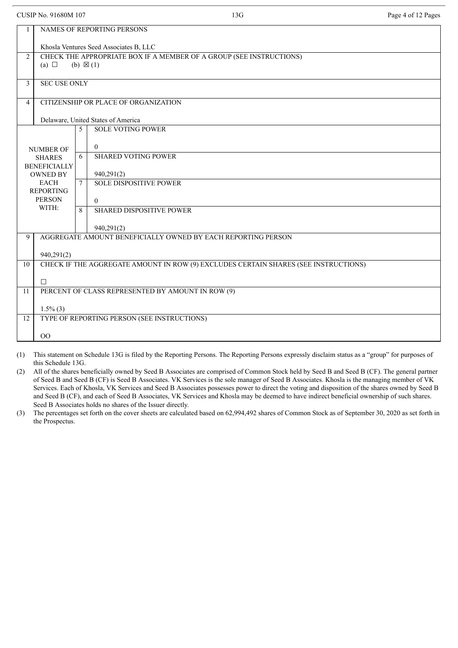|                | <b>CUSIP No. 91680M 107</b>                                                                              | 13G                                                                                 | Page 4 of 12 Pages |  |  |  |  |
|----------------|----------------------------------------------------------------------------------------------------------|-------------------------------------------------------------------------------------|--------------------|--|--|--|--|
|                | <b>NAMES OF REPORTING PERSONS</b><br>Khosla Ventures Seed Associates B, LLC                              |                                                                                     |                    |  |  |  |  |
| $\overline{2}$ | CHECK THE APPROPRIATE BOX IF A MEMBER OF A GROUP (SEE INSTRUCTIONS)<br>(a) $\Box$<br>$(b) \boxtimes (1)$ |                                                                                     |                    |  |  |  |  |
| $\mathbf{3}$   | <b>SEC USE ONLY</b>                                                                                      |                                                                                     |                    |  |  |  |  |
| 4              |                                                                                                          | CITIZENSHIP OR PLACE OF ORGANIZATION                                                |                    |  |  |  |  |
|                |                                                                                                          | Delaware, United States of America                                                  |                    |  |  |  |  |
|                |                                                                                                          | <b>SOLE VOTING POWER</b><br>5                                                       |                    |  |  |  |  |
|                | <b>NUMBER OF</b>                                                                                         | $\overline{0}$                                                                      |                    |  |  |  |  |
|                | <b>SHARES</b>                                                                                            | <b>SHARED VOTING POWER</b><br>6                                                     |                    |  |  |  |  |
|                | <b>BENEFICIALLY</b>                                                                                      |                                                                                     |                    |  |  |  |  |
|                | <b>OWNED BY</b>                                                                                          | 940,291(2)                                                                          |                    |  |  |  |  |
|                | <b>EACH</b><br><b>REPORTING</b>                                                                          | <b>SOLE DISPOSITIVE POWER</b><br>$\tau$                                             |                    |  |  |  |  |
|                | <b>PERSON</b>                                                                                            | $\Omega$                                                                            |                    |  |  |  |  |
|                | WITH:                                                                                                    | $\mathbf{8}$<br><b>SHARED DISPOSITIVE POWER</b>                                     |                    |  |  |  |  |
|                |                                                                                                          | 940,291(2)                                                                          |                    |  |  |  |  |
| 9              |                                                                                                          | AGGREGATE AMOUNT BENEFICIALLY OWNED BY EACH REPORTING PERSON                        |                    |  |  |  |  |
|                | 940,291(2)                                                                                               |                                                                                     |                    |  |  |  |  |
| 10             |                                                                                                          | CHECK IF THE AGGREGATE AMOUNT IN ROW (9) EXCLUDES CERTAIN SHARES (SEE INSTRUCTIONS) |                    |  |  |  |  |
|                | $\Box$                                                                                                   |                                                                                     |                    |  |  |  |  |
| 11             | PERCENT OF CLASS REPRESENTED BY AMOUNT IN ROW (9)                                                        |                                                                                     |                    |  |  |  |  |
|                | $1.5\%$ (3)                                                                                              |                                                                                     |                    |  |  |  |  |
| 12             |                                                                                                          | TYPE OF REPORTING PERSON (SEE INSTRUCTIONS)                                         |                    |  |  |  |  |
|                | 00                                                                                                       |                                                                                     |                    |  |  |  |  |
|                |                                                                                                          |                                                                                     |                    |  |  |  |  |

(1) This statement on Schedule 13G is filed by the Reporting Persons. The Reporting Persons expressly disclaim status as a "group" for purposes of this Schedule 13G.

(2) All of the shares beneficially owned by Seed B Associates are comprised of Common Stock held by Seed B and Seed B (CF). The general partner of Seed B and Seed B (CF) is Seed B Associates. VK Services is the sole manager of Seed B Associates. Khosla is the managing member of VK Services. Each of Khosla, VK Services and Seed B Associates possesses power to direct the voting and disposition of the shares owned by Seed B and Seed B (CF), and each of Seed B Associates, VK Services and Khosla may be deemed to have indirect beneficial ownership of such shares. Seed B Associates holds no shares of the Issuer directly.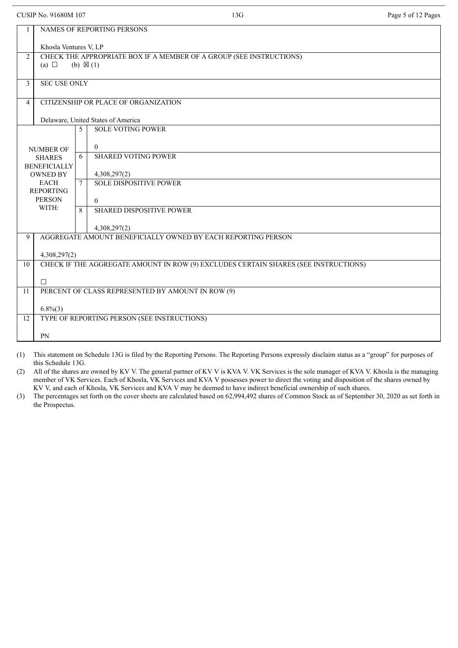|  | CUSIP No. 91680M 107 |  |
|--|----------------------|--|
|  |                      |  |

|                | NAMES OF REPORTING PERSONS                                                          |   |                                                                     |  |  |  |
|----------------|-------------------------------------------------------------------------------------|---|---------------------------------------------------------------------|--|--|--|
|                | Khosla Ventures V, LP                                                               |   |                                                                     |  |  |  |
| $\overline{2}$ |                                                                                     |   | CHECK THE APPROPRIATE BOX IF A MEMBER OF A GROUP (SEE INSTRUCTIONS) |  |  |  |
|                | (a) $\Box$                                                                          |   | $(b) \boxtimes (1)$                                                 |  |  |  |
|                |                                                                                     |   |                                                                     |  |  |  |
| 3              | <b>SEC USE ONLY</b>                                                                 |   |                                                                     |  |  |  |
|                |                                                                                     |   |                                                                     |  |  |  |
| $\overline{4}$ |                                                                                     |   | CITIZENSHIP OR PLACE OF ORGANIZATION                                |  |  |  |
|                |                                                                                     |   |                                                                     |  |  |  |
|                |                                                                                     |   | Delaware, United States of America                                  |  |  |  |
|                |                                                                                     | 5 | <b>SOLE VOTING POWER</b>                                            |  |  |  |
|                |                                                                                     |   |                                                                     |  |  |  |
|                |                                                                                     |   | $\theta$                                                            |  |  |  |
|                | <b>NUMBER OF</b>                                                                    | 6 | <b>SHARED VOTING POWER</b>                                          |  |  |  |
|                | <b>SHARES</b><br><b>BENEFICIALLY</b>                                                |   |                                                                     |  |  |  |
|                | <b>OWNED BY</b>                                                                     |   | 4,308,297(2)                                                        |  |  |  |
|                | <b>EACH</b>                                                                         | 7 | <b>SOLE DISPOSITIVE POWER</b>                                       |  |  |  |
|                | <b>REPORTING</b>                                                                    |   |                                                                     |  |  |  |
|                | <b>PERSON</b><br>$\theta$                                                           |   |                                                                     |  |  |  |
|                | WITH:<br><b>SHARED DISPOSITIVE POWER</b><br>8                                       |   |                                                                     |  |  |  |
|                |                                                                                     |   |                                                                     |  |  |  |
|                | 4,308,297(2)                                                                        |   |                                                                     |  |  |  |
| 9              |                                                                                     |   | AGGREGATE AMOUNT BENEFICIALLY OWNED BY EACH REPORTING PERSON        |  |  |  |
|                |                                                                                     |   |                                                                     |  |  |  |
|                | 4,308,297(2)                                                                        |   |                                                                     |  |  |  |
| 10             | CHECK IF THE AGGREGATE AMOUNT IN ROW (9) EXCLUDES CERTAIN SHARES (SEE INSTRUCTIONS) |   |                                                                     |  |  |  |
|                |                                                                                     |   |                                                                     |  |  |  |
|                | $\Box$                                                                              |   |                                                                     |  |  |  |
| 11             | PERCENT OF CLASS REPRESENTED BY AMOUNT IN ROW (9)                                   |   |                                                                     |  |  |  |
|                |                                                                                     |   |                                                                     |  |  |  |
|                | $6.8\%(3)$                                                                          |   |                                                                     |  |  |  |
| 12             |                                                                                     |   | TYPE OF REPORTING PERSON (SEE INSTRUCTIONS)                         |  |  |  |
|                |                                                                                     |   |                                                                     |  |  |  |
|                | <b>PN</b>                                                                           |   |                                                                     |  |  |  |
|                |                                                                                     |   |                                                                     |  |  |  |

13G Page 5 of 12 Pages

(1) This statement on Schedule 13G is filed by the Reporting Persons. The Reporting Persons expressly disclaim status as a "group" for purposes of this Schedule 13G.

(2) All of the shares are owned by KV V. The general partner of KV V is KVA V. VK Services is the sole manager of KVA V. Khosla is the managing member of VK Services. Each of Khosla, VK Services and KVA V possesses power to direct the voting and disposition of the shares owned by KV V, and each of Khosla, VK Services and KVA V may be deemed to have indirect beneficial ownership of such shares.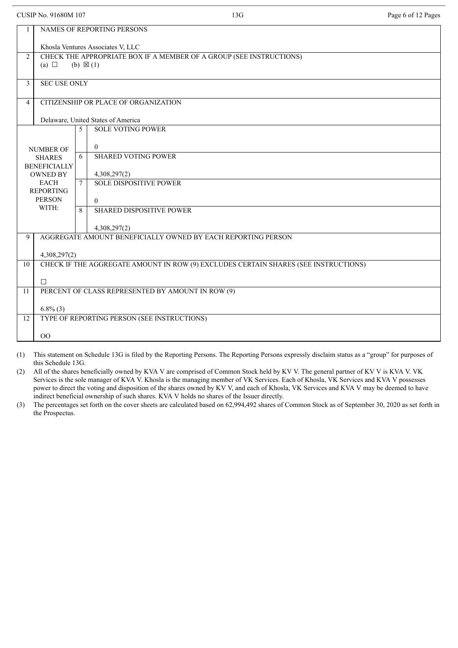|  | CUSIP No. 91680M 107 |  |
|--|----------------------|--|
|  |                      |  |

OO

|                | NAMES OF REPORTING PERSONS                                                          |        |                                                                     |  |  |  |
|----------------|-------------------------------------------------------------------------------------|--------|---------------------------------------------------------------------|--|--|--|
|                | Khosla Ventures Associates V, LLC                                                   |        |                                                                     |  |  |  |
|                |                                                                                     |        |                                                                     |  |  |  |
| $\overline{2}$ |                                                                                     |        | CHECK THE APPROPRIATE BOX IF A MEMBER OF A GROUP (SEE INSTRUCTIONS) |  |  |  |
|                | (a) $\Box$                                                                          |        | (b) $\boxtimes$ (1)                                                 |  |  |  |
|                |                                                                                     |        |                                                                     |  |  |  |
| 3              | <b>SEC USE ONLY</b>                                                                 |        |                                                                     |  |  |  |
|                |                                                                                     |        |                                                                     |  |  |  |
| 4              |                                                                                     |        | CITIZENSHIP OR PLACE OF ORGANIZATION                                |  |  |  |
|                |                                                                                     |        |                                                                     |  |  |  |
|                |                                                                                     |        | Delaware, United States of America                                  |  |  |  |
|                |                                                                                     | 5      | <b>SOLE VOTING POWER</b>                                            |  |  |  |
|                |                                                                                     |        |                                                                     |  |  |  |
|                | <b>NUMBER OF</b>                                                                    |        | $\theta$                                                            |  |  |  |
|                | <b>SHARES</b>                                                                       | 6      | <b>SHARED VOTING POWER</b>                                          |  |  |  |
|                | <b>BENEFICIALLY</b>                                                                 |        |                                                                     |  |  |  |
|                | <b>OWNED BY</b>                                                                     |        | 4,308,297(2)                                                        |  |  |  |
|                | <b>EACH</b>                                                                         | $\tau$ | <b>SOLE DISPOSITIVE POWER</b>                                       |  |  |  |
|                | <b>REPORTING</b>                                                                    |        |                                                                     |  |  |  |
|                | <b>PERSON</b>                                                                       |        | $\Omega$                                                            |  |  |  |
|                | WITH:                                                                               | 8      | <b>SHARED DISPOSITIVE POWER</b>                                     |  |  |  |
|                |                                                                                     |        |                                                                     |  |  |  |
|                |                                                                                     |        | 4,308,297(2)                                                        |  |  |  |
| 9              | AGGREGATE AMOUNT BENEFICIALLY OWNED BY EACH REPORTING PERSON                        |        |                                                                     |  |  |  |
|                |                                                                                     |        |                                                                     |  |  |  |
|                | 4,308,297(2)                                                                        |        |                                                                     |  |  |  |
| 10             | CHECK IF THE AGGREGATE AMOUNT IN ROW (9) EXCLUDES CERTAIN SHARES (SEE INSTRUCTIONS) |        |                                                                     |  |  |  |
|                |                                                                                     |        |                                                                     |  |  |  |
|                | $\Box$                                                                              |        |                                                                     |  |  |  |
| 11             |                                                                                     |        | PERCENT OF CLASS REPRESENTED BY AMOUNT IN ROW (9)                   |  |  |  |
|                |                                                                                     |        |                                                                     |  |  |  |
|                | $6.8\%$ (3)                                                                         |        |                                                                     |  |  |  |
| 12             | TYPE OF REPORTING PERSON (SEE INSTRUCTIONS)                                         |        |                                                                     |  |  |  |

13G Page 6 of 12 Pages

(1) This statement on Schedule 13G is filed by the Reporting Persons. The Reporting Persons expressly disclaim status as a "group" for purposes of this Schedule 13G.

(2) All of the shares beneficially owned by KVA V are comprised of Common Stock held by KV V. The general partner of KV V is KVA V. VK Services is the sole manager of KVA V. Khosla is the managing member of VK Services. Each of Khosla, VK Services and KVA V possesses power to direct the voting and disposition of the shares owned by KV V, and each of Khosla, VK Services and KVA V may be deemed to have indirect beneficial ownership of such shares. KVA V holds no shares of the Issuer directly.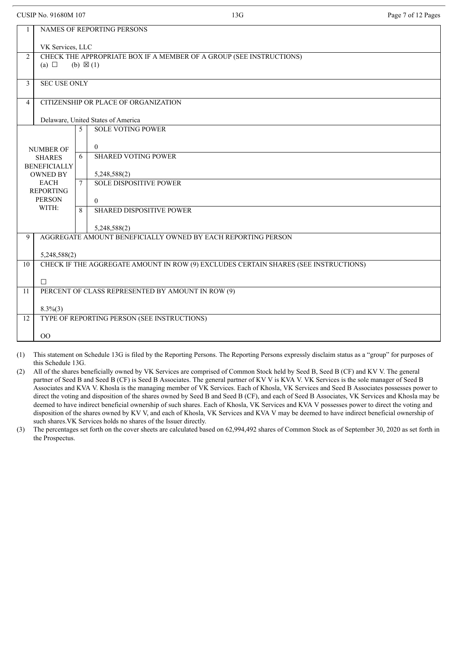|  | CUSIP No. 91680M 107 |  |
|--|----------------------|--|
|  |                      |  |

|                                                                | NAMES OF REPORTING PERSONS                                                                          |   |                                                                     |  |  |
|----------------------------------------------------------------|-----------------------------------------------------------------------------------------------------|---|---------------------------------------------------------------------|--|--|
|                                                                | VK Services, LLC                                                                                    |   |                                                                     |  |  |
| $\overline{2}$                                                 |                                                                                                     |   | CHECK THE APPROPRIATE BOX IF A MEMBER OF A GROUP (SEE INSTRUCTIONS) |  |  |
|                                                                | (a) $\Box$                                                                                          |   | (b) $\boxtimes$ (1)                                                 |  |  |
|                                                                |                                                                                                     |   |                                                                     |  |  |
| 3                                                              | <b>SEC USE ONLY</b>                                                                                 |   |                                                                     |  |  |
|                                                                |                                                                                                     |   |                                                                     |  |  |
| $\overline{4}$                                                 |                                                                                                     |   | CITIZENSHIP OR PLACE OF ORGANIZATION                                |  |  |
|                                                                |                                                                                                     |   |                                                                     |  |  |
|                                                                |                                                                                                     |   | Delaware, United States of America                                  |  |  |
|                                                                |                                                                                                     | 5 | <b>SOLE VOTING POWER</b>                                            |  |  |
|                                                                |                                                                                                     |   | $\theta$                                                            |  |  |
|                                                                | <b>NUMBER OF</b>                                                                                    | 6 | <b>SHARED VOTING POWER</b>                                          |  |  |
|                                                                | <b>SHARES</b><br><b>BENEFICIALLY</b>                                                                |   |                                                                     |  |  |
|                                                                | <b>OWNED BY</b>                                                                                     |   | 5,248,588(2)                                                        |  |  |
| <b>EACH</b><br>$\overline{7}$<br><b>SOLE DISPOSITIVE POWER</b> |                                                                                                     |   |                                                                     |  |  |
|                                                                | <b>REPORTING</b>                                                                                    |   |                                                                     |  |  |
|                                                                | <b>PERSON</b><br>$\theta$                                                                           |   |                                                                     |  |  |
|                                                                | WITH:<br><b>SHARED DISPOSITIVE POWER</b><br>8                                                       |   |                                                                     |  |  |
|                                                                |                                                                                                     |   |                                                                     |  |  |
|                                                                |                                                                                                     |   | 5,248,588(2)                                                        |  |  |
| 9                                                              | AGGREGATE AMOUNT BENEFICIALLY OWNED BY EACH REPORTING PERSON                                        |   |                                                                     |  |  |
|                                                                |                                                                                                     |   |                                                                     |  |  |
| 10                                                             | 5,248,588(2)<br>CHECK IF THE AGGREGATE AMOUNT IN ROW (9) EXCLUDES CERTAIN SHARES (SEE INSTRUCTIONS) |   |                                                                     |  |  |
|                                                                |                                                                                                     |   |                                                                     |  |  |
|                                                                | $\Box$                                                                                              |   |                                                                     |  |  |
| 11                                                             | PERCENT OF CLASS REPRESENTED BY AMOUNT IN ROW (9)                                                   |   |                                                                     |  |  |
|                                                                |                                                                                                     |   |                                                                     |  |  |
|                                                                | $8.3\%(3)$                                                                                          |   |                                                                     |  |  |
| 12                                                             |                                                                                                     |   | TYPE OF REPORTING PERSON (SEE INSTRUCTIONS)                         |  |  |
|                                                                |                                                                                                     |   |                                                                     |  |  |
|                                                                | O <sub>O</sub>                                                                                      |   |                                                                     |  |  |
|                                                                |                                                                                                     |   |                                                                     |  |  |

(1) This statement on Schedule 13G is filed by the Reporting Persons. The Reporting Persons expressly disclaim status as a "group" for purposes of this Schedule 13G.

(2) All of the shares beneficially owned by VK Services are comprised of Common Stock held by Seed B, Seed B (CF) and KV V. The general partner of Seed B and Seed B (CF) is Seed B Associates. The general partner of KV V is KVA V. VK Services is the sole manager of Seed B Associates and KVA V. Khosla is the managing member of VK Services. Each of Khosla, VK Services and Seed B Associates possesses power to direct the voting and disposition of the shares owned by Seed B and Seed B (CF), and each of Seed B Associates, VK Services and Khosla may be deemed to have indirect beneficial ownership of such shares. Each of Khosla, VK Services and KVA V possesses power to direct the voting and disposition of the shares owned by KV V, and each of Khosla, VK Services and KVA V may be deemed to have indirect beneficial ownership of such shares.VK Services holds no shares of the Issuer directly.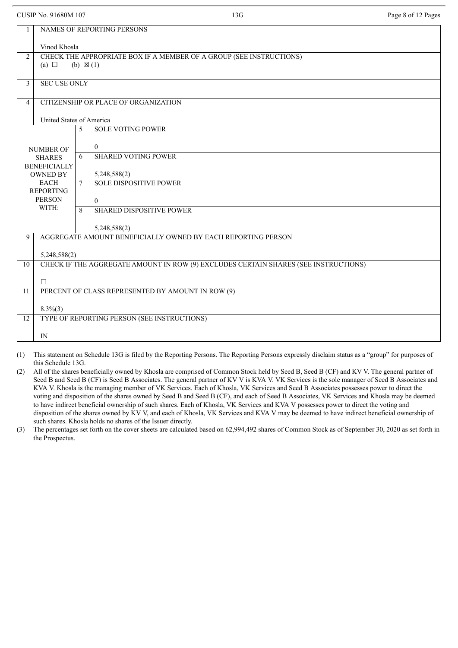$8.3\%$  $(3)$ 

12 TYPE OF REPORTING PERSON (SEE INSTRUCTIONS)

|                | CUSIP No. 91680M 107                                                                                     |        | 13G                                                                                 | Page 8 of 12 Pages |  |  |  |
|----------------|----------------------------------------------------------------------------------------------------------|--------|-------------------------------------------------------------------------------------|--------------------|--|--|--|
|                | <b>NAMES OF REPORTING PERSONS</b>                                                                        |        |                                                                                     |                    |  |  |  |
|                | Vinod Khosla                                                                                             |        |                                                                                     |                    |  |  |  |
| $\overline{2}$ | CHECK THE APPROPRIATE BOX IF A MEMBER OF A GROUP (SEE INSTRUCTIONS)<br>(b) $\boxtimes$ (1)<br>(a) $\Box$ |        |                                                                                     |                    |  |  |  |
| 3              | <b>SEC USE ONLY</b>                                                                                      |        |                                                                                     |                    |  |  |  |
| $\overline{4}$ |                                                                                                          |        | CITIZENSHIP OR PLACE OF ORGANIZATION                                                |                    |  |  |  |
|                | United States of America                                                                                 |        |                                                                                     |                    |  |  |  |
|                |                                                                                                          | 5      | <b>SOLE VOTING POWER</b>                                                            |                    |  |  |  |
|                | <b>NUMBER OF</b>                                                                                         |        | $\theta$                                                                            |                    |  |  |  |
|                | <b>SHARES</b>                                                                                            | 6      | <b>SHARED VOTING POWER</b>                                                          |                    |  |  |  |
|                | <b>BENEFICIALLY</b><br><b>OWNED BY</b>                                                                   |        | 5,248,588(2)                                                                        |                    |  |  |  |
|                | <b>EACH</b><br><b>REPORTING</b>                                                                          | $\tau$ | <b>SOLE DISPOSITIVE POWER</b>                                                       |                    |  |  |  |
|                | <b>PERSON</b><br>$\Omega$                                                                                |        |                                                                                     |                    |  |  |  |
|                | WITH:<br><b>SHARED DISPOSITIVE POWER</b><br>8                                                            |        |                                                                                     |                    |  |  |  |
|                |                                                                                                          |        | 5,248,588(2)                                                                        |                    |  |  |  |
| 9              | AGGREGATE AMOUNT BENEFICIALLY OWNED BY EACH REPORTING PERSON                                             |        |                                                                                     |                    |  |  |  |
|                | 5,248,588(2)                                                                                             |        |                                                                                     |                    |  |  |  |
| 10             |                                                                                                          |        | CHECK IF THE AGGREGATE AMOUNT IN ROW (9) EXCLUDES CERTAIN SHARES (SEE INSTRUCTIONS) |                    |  |  |  |
|                | $\Box$                                                                                                   |        |                                                                                     |                    |  |  |  |
| 11             | PERCENT OF CLASS REPRESENTED BY AMOUNT IN ROW (9)                                                        |        |                                                                                     |                    |  |  |  |

IN

(1) This statement on Schedule 13G is filed by the Reporting Persons. The Reporting Persons expressly disclaim status as a "group" for purposes of this Schedule 13G.

(2) All of the shares beneficially owned by Khosla are comprised of Common Stock held by Seed B, Seed B (CF) and KV V. The general partner of Seed B and Seed B (CF) is Seed B Associates. The general partner of KV V is KVA V. VK Services is the sole manager of Seed B Associates and KVA V. Khosla is the managing member of VK Services. Each of Khosla, VK Services and Seed B Associates possesses power to direct the voting and disposition of the shares owned by Seed B and Seed B (CF), and each of Seed B Associates, VK Services and Khosla may be deemed to have indirect beneficial ownership of such shares. Each of Khosla, VK Services and KVA V possesses power to direct the voting and disposition of the shares owned by KV V, and each of Khosla, VK Services and KVA V may be deemed to have indirect beneficial ownership of such shares. Khosla holds no shares of the Issuer directly.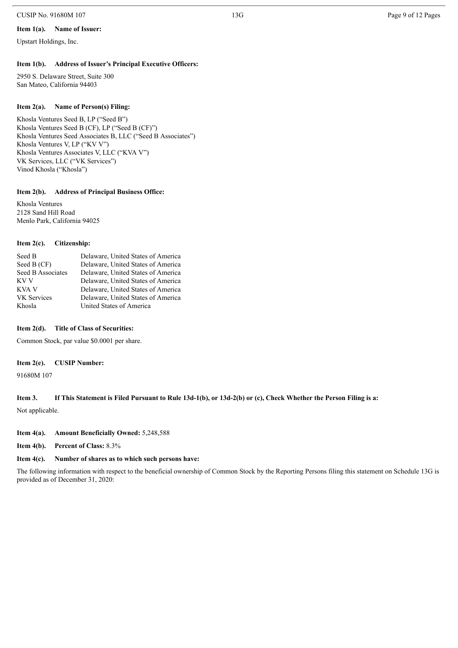#### CUSIP No. 91680M 107 22 Page 9 of 12 Pages 9 of 12 Pages 9 of 12 Pages 9 of 12 Pages 9 of 12 Pages 9 of 12 Pages

#### **Item 1(a). Name of Issuer:**

Upstart Holdings, Inc.

#### **Item 1(b). Address of Issuer's Principal Executive Officers:**

2950 S. Delaware Street, Suite 300 San Mateo, California 94403

#### **Item 2(a). Name of Person(s) Filing:**

Khosla Ventures Seed B, LP ("Seed B") Khosla Ventures Seed B (CF), LP ("Seed B (CF)") Khosla Ventures Seed Associates B, LLC ("Seed B Associates") Khosla Ventures V, LP ("KV V") Khosla Ventures Associates V, LLC ("KVA V") VK Services, LLC ("VK Services") Vinod Khosla ("Khosla")

#### **Item 2(b). Address of Principal Business Office:**

Khosla Ventures 2128 Sand Hill Road Menlo Park, California 94025

#### **Item 2(c). Citizenship:**

| Seed B             | Delaware, United States of America |
|--------------------|------------------------------------|
| Seed B (CF)        | Delaware, United States of America |
| Seed B Associates  | Delaware, United States of America |
| KV V               | Delaware, United States of America |
| KVA V              | Delaware, United States of America |
| <b>VK</b> Services | Delaware, United States of America |
| Khosla             | United States of America           |

#### **Item 2(d). Title of Class of Securities:**

Common Stock, par value \$0.0001 per share.

#### **Item 2(e). CUSIP Number:**

91680M 107

#### Item 3. If This Statement is Filed Pursuant to Rule 13d-1(b), or 13d-2(b) or (c), Check Whether the Person Filing is a:

Not applicable.

### **Item 4(a). Amount Beneficially Owned:** 5,248,588

**Item 4(b). Percent of Class:** 8.3%

# **Item 4(c). Number of shares as to which such persons have:**

The following information with respect to the beneficial ownership of Common Stock by the Reporting Persons filing this statement on Schedule 13G is provided as of December 31, 2020: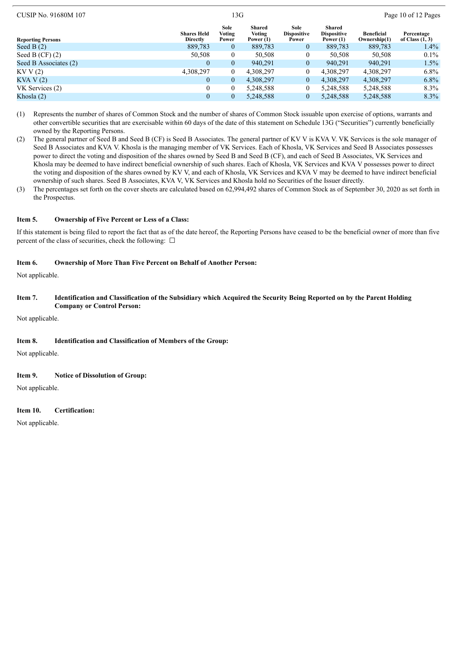| $C$ $C$ $H$ $1$ $V$ . $210001$ $H$ $107$ | 12 U                           |                         |                                        |                                     | 1.45010011214500                            |                                   |                                 |  |
|------------------------------------------|--------------------------------|-------------------------|----------------------------------------|-------------------------------------|---------------------------------------------|-----------------------------------|---------------------------------|--|
| <b>Reporting Persons</b>                 | <b>Shares Held</b><br>Directly | Sole<br>Voting<br>Power | Shared<br><b>Voting</b><br>Power $(1)$ | Sole<br><b>Dispositive</b><br>Power | Shared<br><b>Dispositive</b><br>Power $(1)$ | <b>Beneficial</b><br>Ownership(1) | Percentage<br>of Class $(1, 3)$ |  |
| Seed B $(2)$                             | 889,783                        | $\mathbf{0}$            | 889,783                                | $\overline{0}$                      | 889,783                                     | 889,783                           | $1.4\%$                         |  |
| Seed B $(CF)$ (2)                        | 50,508                         | 0                       | 50,508                                 | 0                                   | 50,508                                      | 50,508                            | $0.1\%$                         |  |
| Seed B Associates (2)                    | $\theta$                       | $\overline{0}$          | 940.291                                | $\overline{0}$                      | 940.291                                     | 940,291                           | $1.5\%$                         |  |
| KVV(2)                                   | 4,308,297                      | $\overline{0}$          | 4,308,297                              |                                     | 4.308.297                                   | 4,308,297                         | $6.8\%$                         |  |
| KVA V(2)                                 | $\theta$                       | $\overline{0}$          | 4,308,297                              | $\theta$                            | 4.308.297                                   | 4,308,297                         | $6.8\%$                         |  |
| VK Services (2)                          | 0                              | 0                       | 5,248,588                              | 0                                   | 5,248,588                                   | 5,248,588                         | 8.3%                            |  |
| Khosla (2)                               | 0                              | 0                       | 5.248.588                              |                                     | 5.248.588                                   | 5.248.588                         | $8.3\%$                         |  |

 $CUSIP$  No. 91680M 107  $13G$  Page 10 of 12 Pages

(1) Represents the number of shares of Common Stock and the number of shares of Common Stock issuable upon exercise of options, warrants and other convertible securities that are exercisable within 60 days of the date of this statement on Schedule 13G ("Securities") currently beneficially owned by the Reporting Persons.

(2) The general partner of Seed B and Seed B (CF) is Seed B Associates. The general partner of KV V is KVA V. VK Services is the sole manager of Seed B Associates and KVA V. Khosla is the managing member of VK Services. Each of Khosla, VK Services and Seed B Associates possesses power to direct the voting and disposition of the shares owned by Seed B and Seed B (CF), and each of Seed B Associates, VK Services and Khosla may be deemed to have indirect beneficial ownership of such shares. Each of Khosla, VK Services and KVA V possesses power to direct the voting and disposition of the shares owned by KV V, and each of Khosla, VK Services and KVA V may be deemed to have indirect beneficial ownership of such shares. Seed B Associates, KVA V, VK Services and Khosla hold no Securities of the Issuer directly.

(3) The percentages set forth on the cover sheets are calculated based on 62,994,492 shares of Common Stock as of September 30, 2020 as set forth in the Prospectus.

#### **Item 5. Ownership of Five Percent or Less of a Class:**

If this statement is being filed to report the fact that as of the date hereof, the Reporting Persons have ceased to be the beneficial owner of more than five percent of the class of securities, check the following:  $\Box$ 

#### **Item 6. Ownership of More Than Five Percent on Behalf of Another Person:**

Not applicable.

#### Item 7. Identification and Classification of the Subsidiary which Acquired the Security Being Reported on by the Parent Holding **Company or Control Person:**

Not applicable.

#### **Item 8. Identification and Classification of Members of the Group:**

Not applicable.

#### **Item 9. Notice of Dissolution of Group:**

Not applicable.

#### **Item 10. Certification:**

Not applicable.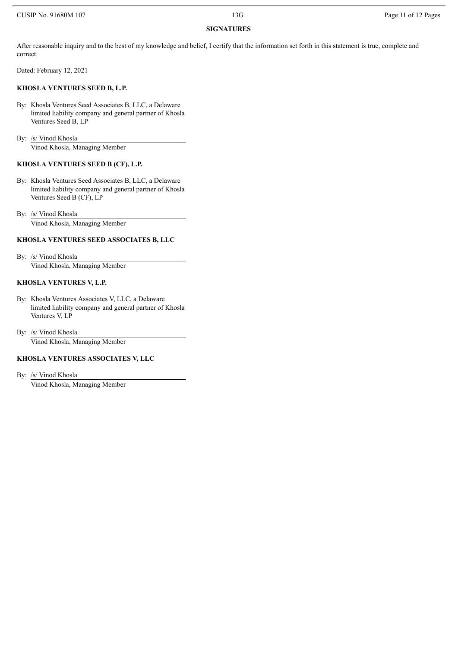# **SIGNATURES**

After reasonable inquiry and to the best of my knowledge and belief, I certify that the information set forth in this statement is true, complete and correct.

Dated: February 12, 2021

#### **KHOSLA VENTURES SEED B, L.P.**

By: Khosla Ventures Seed Associates B, LLC, a Delaware limited liability company and general partner of Khosla Ventures Seed B, LP

By: /s/ Vinod Khosla Vinod Khosla, Managing Member

### **KHOSLA VENTURES SEED B (CF), L.P.**

- By: Khosla Ventures Seed Associates B, LLC, a Delaware limited liability company and general partner of Khosla Ventures Seed B (CF), LP
- By: /s/ Vinod Khosla Vinod Khosla, Managing Member

#### **KHOSLA VENTURES SEED ASSOCIATES B, LLC**

By: /s/ Vinod Khosla

Vinod Khosla, Managing Member

#### **KHOSLA VENTURES V, L.P.**

- By: Khosla Ventures Associates V, LLC, a Delaware limited liability company and general partner of Khosla Ventures V, LP
- By: /s/ Vinod Khosla Vinod Khosla, Managing Member

#### **KHOSLA VENTURES ASSOCIATES V, LLC**

By: /s/ Vinod Khosla

Vinod Khosla, Managing Member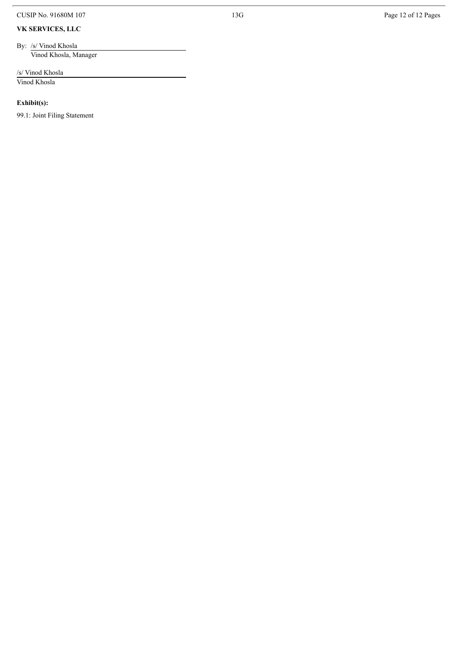CUSIP No. 91680M 107

#### **V K S E RV I C E S , L L C**

By: /s/ Vinod Khosla Vinod Khosla, Manager

/s/ Vinod Khosla Vi n o d Kh o s l a

**Exhibit(s):** 

99.1: Joint Filing Statement

1 3 G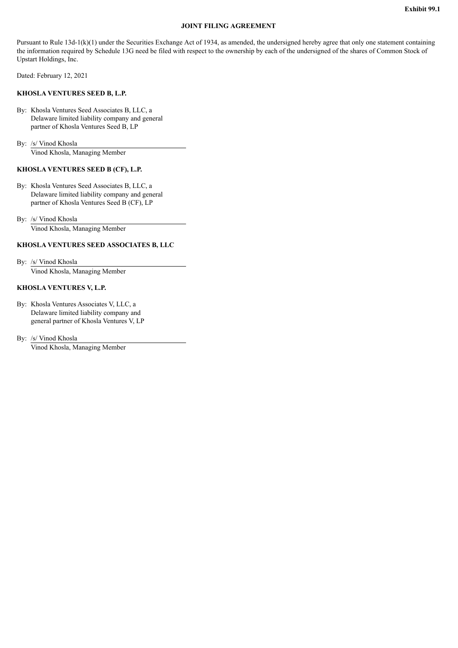#### **JOINT FILING AGREEMENT**

Pursuant to Rule  $13d-1(k)(1)$  under the Securities Exchange Act of 1934, as amended, the undersigned hereby agree that only one statement containing the information required by Schedule 13G need be filed with respect to the ownership by each of the undersigned of the shares of Common Stock of Upstart Holdings, Inc.

Dated: February 12, 2021

#### **KHOSLA VENTURES SEED B, L.P.**

By: Khosla Ventures Seed Associates B, LLC, a Delaware limited liability company and general partner of Khosla Ventures Seed B, LP

By: /s/ Vinod Khosla Vinod Khosla, Managing Member

#### **KHOSLA VENTURES SEED B (CF), L.P.**

By: Khosla Ventures Seed Associates B, LLC, a Delaware limited liability company and general partner of Khosla Ventures Seed B (CF), LP

By: /s/ Vinod Khosla Vinod Khosla, Managing Member

#### **KHOSLA VENTURES SEED ASSOCIATES B, LLC**

By: /s/ Vinod Khosla Vinod Khosla, Managing Member

#### **KHOSLA VENTURES V, L.P.**

By: Khosla Ventures Associates V, LLC, a Delaware limited liability company and general partner of Khosla Ventures V, LP

By: /s/ Vinod Khosla Vinod Khosla, Managing Member